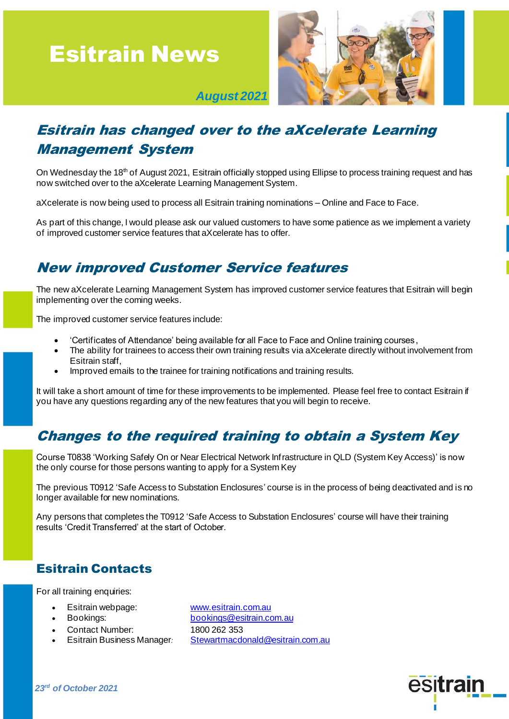# Esitrain News



 *August 2021*

## Esitrain has changed over to the aXcelerate Learning Management System

On Wednesday the 18<sup>th</sup> of August 2021, Esitrain officially stopped using Ellipse to process training request and has now switched over to the aXcelerate Learning Management System.

aXcelerate is now being used to process all Esitrain training nominations – Online and Face to Face.

As part of this change, I would please ask our valued customers to have some patience as we implement a variety of improved customer service features that aXcelerate has to offer.

#### New improved Customer Service features

The new aXcelerate Learning Management System has improved customer service features that Esitrain will begin implementing over the coming weeks.

The improved customer service features include:

- 'Certificates of Attendance' being available for all Face to Face and Online training courses ,
- The ability for trainees to access their own training results via aXcelerate directly without involvement from Esitrain staff,
- Improved emails to the trainee for training notifications and training results.

It will take a short amount of time for these improvements to be implemented. Please feel free to contact Esitrain if you have any questions regarding any of the new features that you will begin to receive.

### Changes to the required training to obtain a System Key

Course T0838 'Working Safely On or Near Electrical Network Infrastructure in QLD (System Key Access)' is now the only course for those persons wanting to apply for a System Key

The previous T0912 'Safe Access to Substation Enclosures' course is in the process of being deactivated and is no longer available for new nominations.

Any persons that completes the T0912 'Safe Access to Substation Enclosures' course will have their training results 'Credit Transferred' at the start of October.

#### Esitrain Contacts

For all training enquiries:

- Esitrain webpage: [www.esitrain.com.au](http://www.esitrain.com.au/)
- 
- Contact Number: 1800 262 353
- 

• Bookings: [bookings@esitrain.com.au](mailto:bookings@esitrain.com.au) • Esitrain Business Manager*:* [Stewartmacdonald@esitrain.com.au](mailto:Stewartmacdonald@esitrain.com.au)